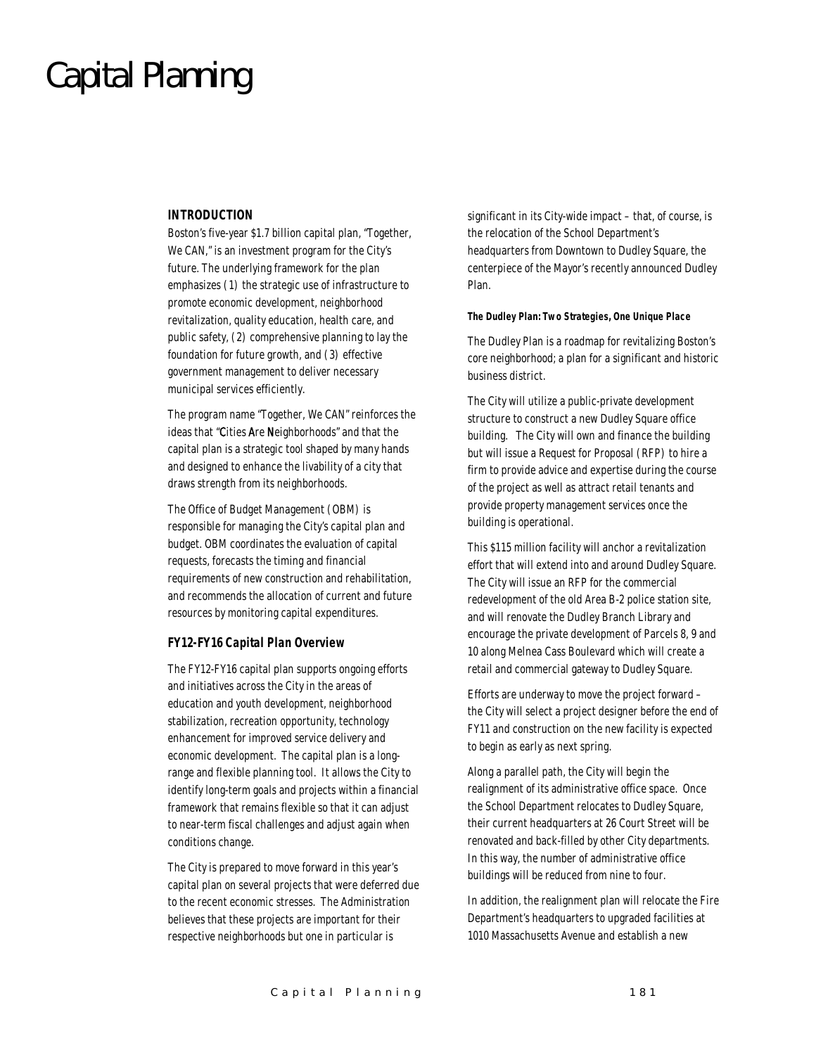### Capital Planning

#### *INTRODUCTION*

Boston's five-year \$1.7 billion capital plan, "Together, We CAN," is an investment program for the City's future. The underlying framework for the plan emphasizes (1) the strategic use of infrastructure to promote economic development, neighborhood revitalization, quality education, health care, and public safety, (2) comprehensive planning to lay the foundation for future growth, and (3) effective government management to deliver necessary municipal services efficiently.

The program name "Together, We CAN" reinforces the ideas that "Cities Are Neighborhoods" and that the capital plan is a strategic tool shaped by many hands and designed to enhance the livability of a city that draws strength from its neighborhoods.

The Office of Budget Management (OBM) is responsible for managing the City's capital plan and budget. OBM coordinates the evaluation of capital requests, forecasts the timing and financial requirements of new construction and rehabilitation, and recommends the allocation of current and future resources by monitoring capital expenditures.

#### *FY12-FY16 Capital Plan Overview*

The FY12-FY16 capital plan supports ongoing efforts and initiatives across the City in the areas of education and youth development, neighborhood stabilization, recreation opportunity, technology enhancement for improved service delivery and economic development. The capital plan is a longrange and flexible planning tool. It allows the City to identify long-term goals and projects within a financial framework that remains flexible so that it can adjust to near-term fiscal challenges and adjust again when conditions change.

The City is prepared to move forward in this year's capital plan on several projects that were deferred due to the recent economic stresses. The Administration believes that these projects are important for their respective neighborhoods but one in particular is

significant in its City-wide impact – that, of course, is the relocation of the School Department's headquarters from Downtown to Dudley Square, the centerpiece of the Mayor's recently announced Dudley Plan.

#### *The Dudley Plan: Two Strategies, One Unique Place*

The Dudley Plan is a roadmap for revitalizing Boston's core neighborhood; a plan for a significant and historic business district.

The City will utilize a public-private development structure to construct a new Dudley Square office building. The City will own and finance the building but will issue a Request for Proposal (RFP) to hire a firm to provide advice and expertise during the course of the project as well as attract retail tenants and provide property management services once the building is operational.

This \$115 million facility will anchor a revitalization effort that will extend into and around Dudley Square. The City will issue an RFP for the commercial redevelopment of the old Area B-2 police station site, and will renovate the Dudley Branch Library and encourage the private development of Parcels 8, 9 and 10 along Melnea Cass Boulevard which will create a retail and commercial gateway to Dudley Square.

Efforts are underway to move the project forward – the City will select a project designer before the end of FY11 and construction on the new facility is expected to begin as early as next spring.

Along a parallel path, the City will begin the realignment of its administrative office space. Once the School Department relocates to Dudley Square, their current headquarters at 26 Court Street will be renovated and back-filled by other City departments. In this way, the number of administrative office buildings will be reduced from nine to four.

In addition, the realignment plan will relocate the Fire Department's headquarters to upgraded facilities at 1010 Massachusetts Avenue and establish a new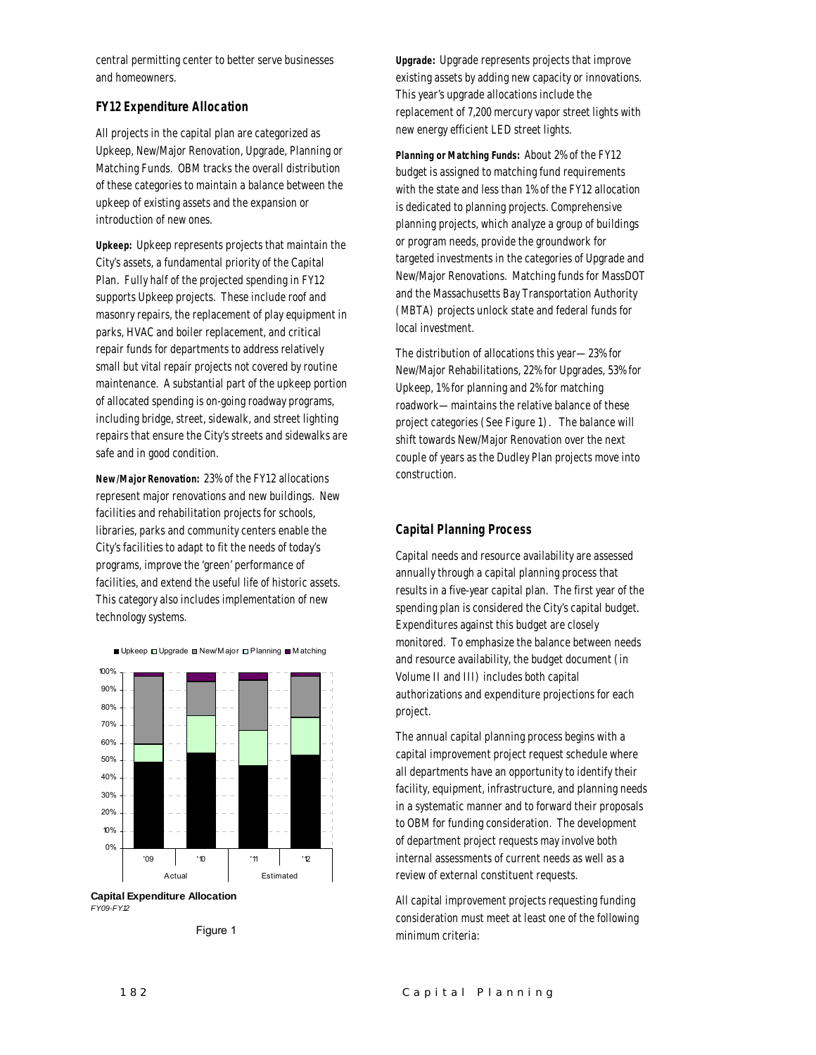central permitting center to better serve businesses and homeowners.

#### *FY12 Expenditure Allocation*

All projects in the capital plan are categorized as Upkeep, New/Major Renovation, Upgrade, Planning or Matching Funds. OBM tracks the overall distribution of these categories to maintain a balance between the upkeep of existing assets and the expansion or introduction of new ones.

*Upkeep:* Upkeep represents projects that maintain the City's assets, a fundamental priority of the Capital Plan. Fully half of the projected spending in FY12 supports Upkeep projects. These include roof and masonry repairs, the replacement of play equipment in parks, HVAC and boiler replacement, and critical repair funds for departments to address relatively small but vital repair projects not covered by routine maintenance. A substantial part of the upkeep portion of allocated spending is on-going roadway programs, including bridge, street, sidewalk, and street lighting repairs that ensure the City's streets and sidewalks are safe and in good condition.

*New/Major Renovation:* 23% of the FY12 allocations represent major renovations and new buildings. New facilities and rehabilitation projects for schools, libraries, parks and community centers enable the City's facilities to adapt to fit the needs of today's programs, improve the 'green' performance of facilities, and extend the useful life of historic assets. This category also includes implementation of new technology systems.

■ Upkeep □ Upgrade ■ New/M ajor □ Planning ■ M atching

0% 10% 20% 30% 40% 50% 60% 70% 80% 90% 100% '09 '10 '11 '12 Actual Estimated

**Capital Expenditure Allocation**  *FY09-FY12*



*Upgrade:* Upgrade represents projects that improve existing assets by adding new capacity or innovations. This year's upgrade allocations include the replacement of 7,200 mercury vapor street lights with new energy efficient LED street lights.

*Planning or Matching Funds:* About 2% of the FY12 budget is assigned to matching fund requirements with the state and less than 1% of the FY12 allocation is dedicated to planning projects. Comprehensive planning projects, which analyze a group of buildings or program needs, provide the groundwork for targeted investments in the categories of Upgrade and New/Major Renovations. Matching funds for MassDOT and the Massachusetts Bay Transportation Authority (MBTA) projects unlock state and federal funds for local investment.

The distribution of allocations this year—23% for New/Major Rehabilitations, 22% for Upgrades, 53% for Upkeep, 1% for planning and 2% for matching roadwork—maintains the relative balance of these project categories (See Figure 1). The balance will shift towards New/Major Renovation over the next couple of years as the Dudley Plan projects move into construction.

#### *Capital Planning Process*

Capital needs and resource availability are assessed annually through a capital planning process that results in a five-year capital plan. The first year of the spending plan is considered the City's capital budget. Expenditures against this budget are closely monitored. To emphasize the balance between needs and resource availability, the budget document (in Volume II and III) includes both capital authorizations and expenditure projections for each project.

The annual capital planning process begins with a capital improvement project request schedule where all departments have an opportunity to identify their facility, equipment, infrastructure, and planning needs in a systematic manner and to forward their proposals to OBM for funding consideration. The development of department project requests may involve both internal assessments of current needs as well as a review of external constituent requests.

All capital improvement projects requesting funding consideration must meet at least one of the following minimum criteria: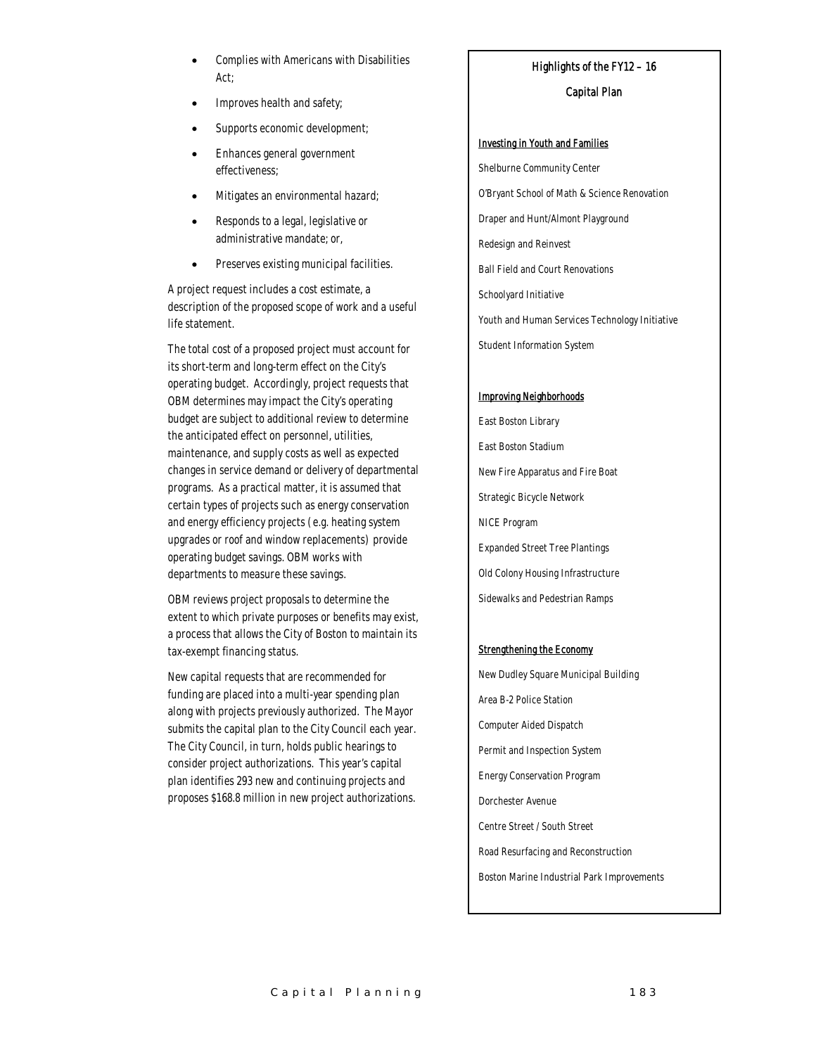- Complies with Americans with Disabilities Act;
- Improves health and safety;
- Supports economic development;
- Enhances general government effectiveness;
- Mitigates an environmental hazard;
- Responds to a legal, legislative or administrative mandate; or,
- Preserves existing municipal facilities.

A project request includes a cost estimate, a description of the proposed scope of work and a useful life statement.

The total cost of a proposed project must account for its short-term and long-term effect on the City's operating budget. Accordingly, project requests that OBM determines may impact the City's operating budget are subject to additional review to determine the anticipated effect on personnel, utilities, maintenance, and supply costs as well as expected changes in service demand or delivery of departmental programs. As a practical matter, it is assumed that certain types of projects such as energy conservation and energy efficiency projects (e.g. heating system upgrades or roof and window replacements) provide operating budget savings. OBM works with departments to measure these savings.

OBM reviews project proposals to determine the extent to which private purposes or benefits may exist, a process that allows the City of Boston to maintain its tax-exempt financing status.

New capital requests that are recommended for funding are placed into a multi-year spending plan along with projects previously authorized. The Mayor submits the capital plan to the City Council each year. The City Council, in turn, holds public hearings to consider project authorizations. This year's capital plan identifies 293 new and continuing projects and proposes \$168.8 million in new project authorizations.

#### Highlights of the FY12 – 16

#### Capital Plan

#### Investing in Youth and Families

Shelburne Community Center O'Bryant School of Math & Science Renovation Draper and Hunt/Almont Playground Redesign and Reinvest Ball Field and Court Renovations Schoolyard Initiative Youth and Human Services Technology Initiative Student Information System

#### Improving Neighborhoods

East Boston Library East Boston Stadium New Fire Apparatus and Fire Boat Strategic Bicycle Network NICE Program Expanded Street Tree Plantings Old Colony Housing Infrastructure Sidewalks and Pedestrian Ramps

#### Strengthening the Economy

New Dudley Square Municipal Building Area B-2 Police Station Computer Aided Dispatch Permit and Inspection System Energy Conservation Program Dorchester Avenue Centre Street / South Street Road Resurfacing and Reconstruction Boston Marine Industrial Park Improvements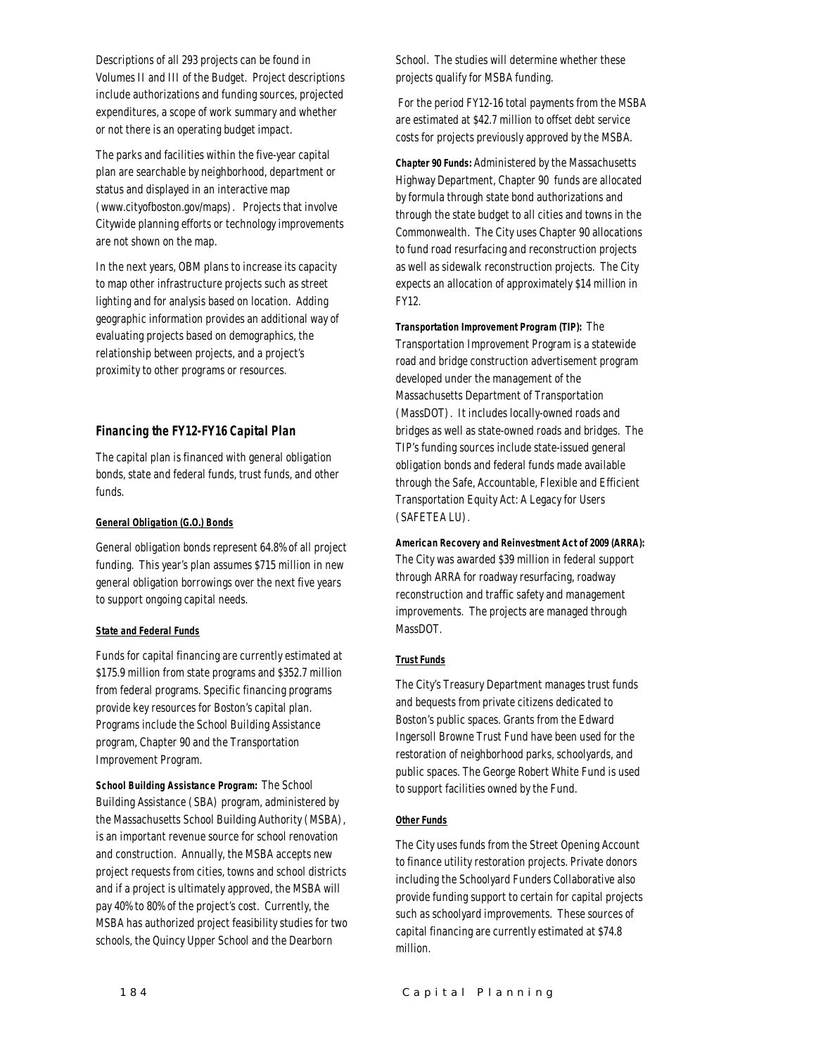Descriptions of all 293 projects can be found in Volumes II and III of the Budget. Project descriptions include authorizations and funding sources, projected expenditures, a scope of work summary and whether or not there is an operating budget impact.

The parks and facilities within the five-year capital plan are searchable by neighborhood, department or status and displayed in an interactive map (www.cityofboston.gov/maps). Projects that involve Citywide planning efforts or technology improvements are not shown on the map.

In the next years, OBM plans to increase its capacity to map other infrastructure projects such as street lighting and for analysis based on location. Adding geographic information provides an additional way of evaluating projects based on demographics, the relationship between projects, and a project's proximity to other programs or resources.

#### *Financing the FY12-FY16 Capital Plan*

The capital plan is financed with general obligation bonds, state and federal funds, trust funds, and other funds.

#### *General Obligation (G.O.) Bonds*

General obligation bonds represent 64.8% of all project funding. This year's plan assumes \$715 million in new general obligation borrowings over the next five years to support ongoing capital needs.

#### *State and Federal Funds*

Funds for capital financing are currently estimated at \$175.9 million from state programs and \$352.7 million from federal programs. Specific financing programs provide key resources for Boston's capital plan. Programs include the School Building Assistance program, Chapter 90 and the Transportation Improvement Program.

*School Building Assistance Program:* The School Building Assistance (SBA) program, administered by the Massachusetts School Building Authority (MSBA), is an important revenue source for school renovation and construction. Annually, the MSBA accepts new project requests from cities, towns and school districts and if a project is ultimately approved, the MSBA will pay 40% to 80% of the project's cost. Currently, the MSBA has authorized project feasibility studies for two schools, the Quincy Upper School and the Dearborn

School. The studies will determine whether these projects qualify for MSBA funding.

 For the period FY12-16 total payments from the MSBA are estimated at \$42.7 million to offset debt service costs for projects previously approved by the MSBA.

*Chapter 90 Funds:* Administered by the Massachusetts Highway Department, Chapter 90 funds are allocated by formula through state bond authorizations and through the state budget to all cities and towns in the Commonwealth. The City uses Chapter 90 allocations to fund road resurfacing and reconstruction projects as well as sidewalk reconstruction projects. The City expects an allocation of approximately \$14 million in FY12.

*Transportation Improvement Program (TIP):* The Transportation Improvement Program is a statewide road and bridge construction advertisement program developed under the management of the Massachusetts Department of Transportation (MassDOT). It includes locally-owned roads and bridges as well as state-owned roads and bridges. The TIP's funding sources include state-issued general obligation bonds and federal funds made available through the Safe, Accountable, Flexible and Efficient Transportation Equity Act: A Legacy for Users (SAFETEA LU).

*American Recovery and Reinvestment Act of 2009 (ARRA):*  The City was awarded \$39 million in federal support through ARRA for roadway resurfacing, roadway reconstruction and traffic safety and management improvements. The projects are managed through MassDOT.

#### *Trust Funds*

The City's Treasury Department manages trust funds and bequests from private citizens dedicated to Boston's public spaces. Grants from the Edward Ingersoll Browne Trust Fund have been used for the restoration of neighborhood parks, schoolyards, and public spaces. The George Robert White Fund is used to support facilities owned by the Fund.

#### *Other Funds*

The City uses funds from the Street Opening Account to finance utility restoration projects. Private donors including the Schoolyard Funders Collaborative also provide funding support to certain for capital projects such as schoolyard improvements. These sources of capital financing are currently estimated at \$74.8 million.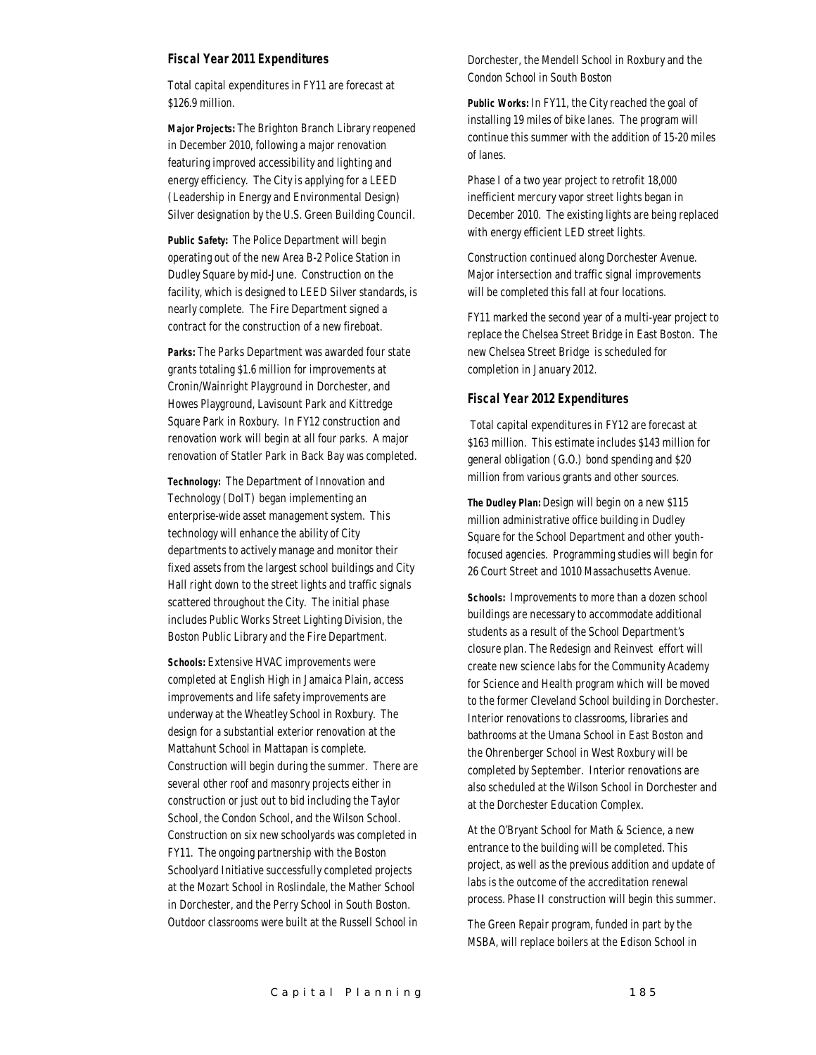#### *Fiscal Year 2011 Expenditures*

Total capital expenditures in FY11 are forecast at \$126.9 million.

*Major Projects:* The Brighton Branch Library reopened in December 2010, following a major renovation featuring improved accessibility and lighting and energy efficiency. The City is applying for a LEED (Leadership in Energy and Environmental Design) Silver designation by the U.S. Green Building Council.

*Public Safety:* The Police Department will begin operating out of the new Area B-2 Police Station in Dudley Square by mid-June. Construction on the facility, which is designed to LEED Silver standards, is nearly complete. The Fire Department signed a contract for the construction of a new fireboat.

*Parks:* The Parks Department was awarded four state grants totaling \$1.6 million for improvements at Cronin/Wainright Playground in Dorchester, and Howes Playground, Lavisount Park and Kittredge Square Park in Roxbury. In FY12 construction and renovation work will begin at all four parks. A major renovation of Statler Park in Back Bay was completed.

*Technology:* The Department of Innovation and Technology (DoIT) began implementing an enterprise-wide asset management system. This technology will enhance the ability of City departments to actively manage and monitor their fixed assets from the largest school buildings and City Hall right down to the street lights and traffic signals scattered throughout the City. The initial phase includes Public Works Street Lighting Division, the Boston Public Library and the Fire Department.

*Schools:* Extensive HVAC improvements were completed at English High in Jamaica Plain, access improvements and life safety improvements are underway at the Wheatley School in Roxbury. The design for a substantial exterior renovation at the Mattahunt School in Mattapan is complete. Construction will begin during the summer. There are several other roof and masonry projects either in construction or just out to bid including the Taylor School, the Condon School, and the Wilson School. Construction on six new schoolyards was completed in FY11. The ongoing partnership with the Boston Schoolyard Initiative successfully completed projects at the Mozart School in Roslindale, the Mather School in Dorchester, and the Perry School in South Boston. Outdoor classrooms were built at the Russell School in Dorchester, the Mendell School in Roxbury and the Condon School in South Boston

*Public Works:* In FY11, the City reached the goal of installing 19 miles of bike lanes. The program will continue this summer with the addition of 15-20 miles of lanes.

Phase I of a two year project to retrofit 18,000 inefficient mercury vapor street lights began in December 2010. The existing lights are being replaced with energy efficient LED street lights.

Construction continued along Dorchester Avenue. Major intersection and traffic signal improvements will be completed this fall at four locations.

FY11 marked the second year of a multi-year project to replace the Chelsea Street Bridge in East Boston. The new Chelsea Street Bridge is scheduled for completion in January 2012.

#### *Fiscal Year 2012 Expenditures*

 Total capital expenditures in FY12 are forecast at \$163 million. This estimate includes \$143 million for general obligation (G.O.) bond spending and \$20 million from various grants and other sources.

*The Dudley Plan:* Design will begin on a new \$115 million administrative office building in Dudley Square for the School Department and other youthfocused agencies. Programming studies will begin for 26 Court Street and 1010 Massachusetts Avenue.

*Schools:* Improvements to more than a dozen school buildings are necessary to accommodate additional students as a result of the School Department's closure plan. The Redesign and Reinvest effort will create new science labs for the Community Academy for Science and Health program which will be moved to the former Cleveland School building in Dorchester. Interior renovations to classrooms, libraries and bathrooms at the Umana School in East Boston and the Ohrenberger School in West Roxbury will be completed by September. Interior renovations are also scheduled at the Wilson School in Dorchester and at the Dorchester Education Complex.

At the O'Bryant School for Math & Science, a new entrance to the building will be completed. This project, as well as the previous addition and update of labs is the outcome of the accreditation renewal process. Phase II construction will begin this summer.

The Green Repair program, funded in part by the MSBA, will replace boilers at the Edison School in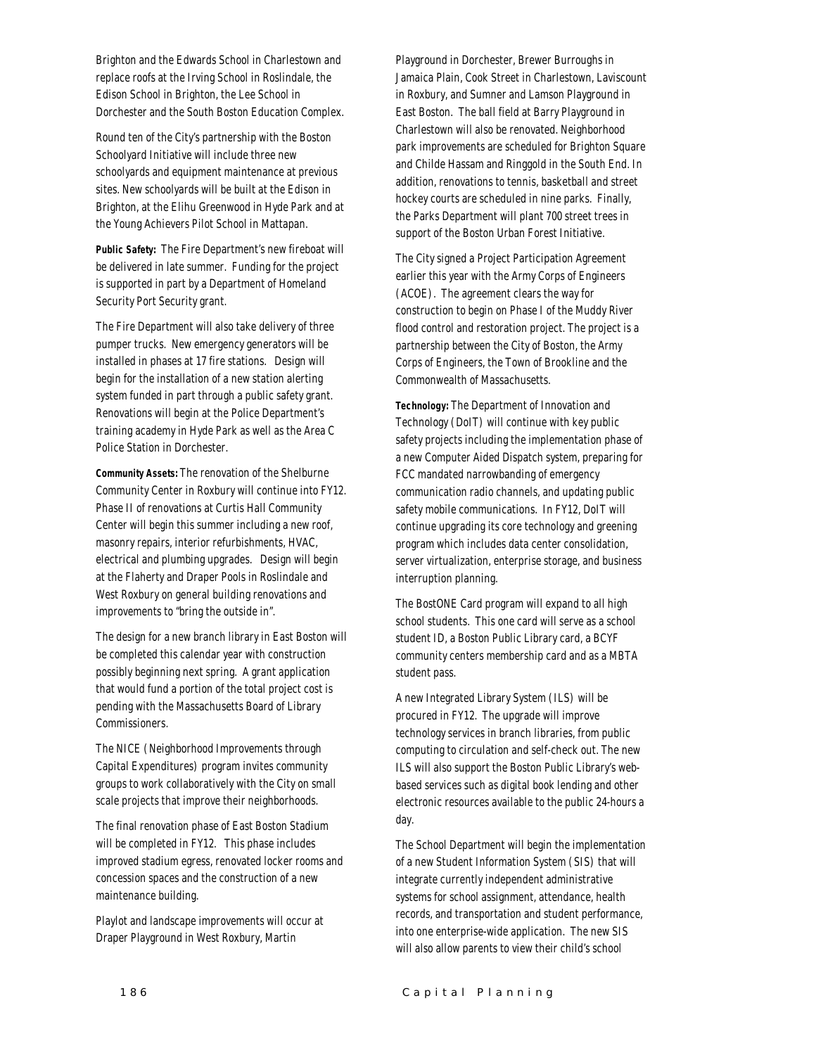Brighton and the Edwards School in Charlestown and replace roofs at the Irving School in Roslindale, the Edison School in Brighton, the Lee School in Dorchester and the South Boston Education Complex.

Round ten of the City's partnership with the Boston Schoolyard Initiative will include three new schoolyards and equipment maintenance at previous sites. New schoolyards will be built at the Edison in Brighton, at the Elihu Greenwood in Hyde Park and at the Young Achievers Pilot School in Mattapan.

*Public Safety:* The Fire Department's new fireboat will be delivered in late summer. Funding for the project is supported in part by a Department of Homeland Security Port Security grant.

The Fire Department will also take delivery of three pumper trucks. New emergency generators will be installed in phases at 17 fire stations. Design will begin for the installation of a new station alerting system funded in part through a public safety grant. Renovations will begin at the Police Department's training academy in Hyde Park as well as the Area C Police Station in Dorchester.

*Community Assets:* The renovation of the Shelburne Community Center in Roxbury will continue into FY12. Phase II of renovations at Curtis Hall Community Center will begin this summer including a new roof, masonry repairs, interior refurbishments, HVAC, electrical and plumbing upgrades. Design will begin at the Flaherty and Draper Pools in Roslindale and West Roxbury on general building renovations and improvements to "bring the outside in".

The design for a new branch library in East Boston will be completed this calendar year with construction possibly beginning next spring. A grant application that would fund a portion of the total project cost is pending with the Massachusetts Board of Library Commissioners.

The NICE (Neighborhood Improvements through Capital Expenditures) program invites community groups to work collaboratively with the City on small scale projects that improve their neighborhoods.

The final renovation phase of East Boston Stadium will be completed in FY12. This phase includes improved stadium egress, renovated locker rooms and concession spaces and the construction of a new maintenance building.

Playlot and landscape improvements will occur at Draper Playground in West Roxbury, Martin

Playground in Dorchester, Brewer Burroughs in Jamaica Plain, Cook Street in Charlestown, Laviscount in Roxbury, and Sumner and Lamson Playground in East Boston. The ball field at Barry Playground in Charlestown will also be renovated. Neighborhood park improvements are scheduled for Brighton Square and Childe Hassam and Ringgold in the South End. In addition, renovations to tennis, basketball and street hockey courts are scheduled in nine parks. Finally, the Parks Department will plant 700 street trees in support of the Boston Urban Forest Initiative.

The City signed a Project Participation Agreement earlier this year with the Army Corps of Engineers (ACOE). The agreement clears the way for construction to begin on Phase I of the Muddy River flood control and restoration project. The project is a partnership between the City of Boston, the Army Corps of Engineers, the Town of Brookline and the Commonwealth of Massachusetts.

*Technology:* The Department of Innovation and Technology (DoIT) will continue with key public safety projects including the implementation phase of a new Computer Aided Dispatch system, preparing for FCC mandated narrowbanding of emergency communication radio channels, and updating public safety mobile communications. In FY12, DoIT will continue upgrading its core technology and greening program which includes data center consolidation, server virtualization, enterprise storage, and business interruption planning.

The BostONE Card program will expand to all high school students. This one card will serve as a school student ID, a Boston Public Library card, a BCYF community centers membership card and as a MBTA student pass.

A new Integrated Library System (ILS) will be procured in FY12. The upgrade will improve technology services in branch libraries, from public computing to circulation and self-check out. The new ILS will also support the Boston Public Library's webbased services such as digital book lending and other electronic resources available to the public 24-hours a day.

The School Department will begin the implementation of a new Student Information System (SIS) that will integrate currently independent administrative systems for school assignment, attendance, health records, and transportation and student performance, into one enterprise-wide application. The new SIS will also allow parents to view their child's school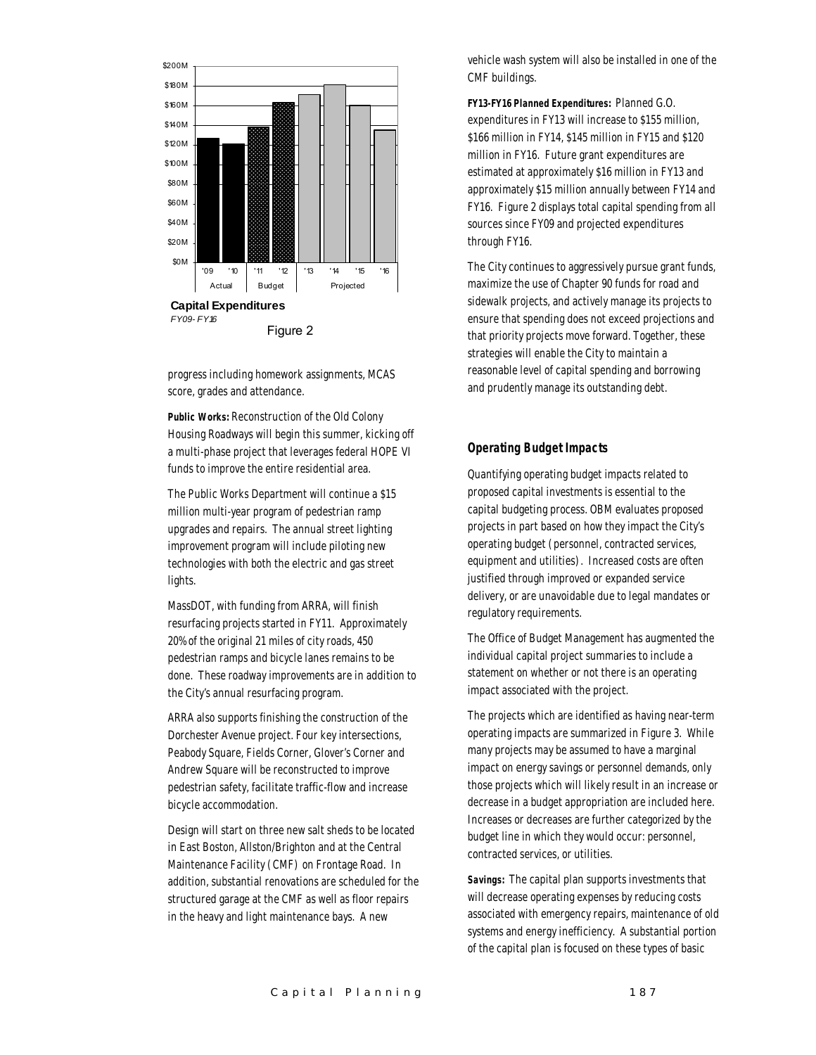

progress including homework assignments, MCAS score, grades and attendance.

*Public Works:* Reconstruction of the Old Colony Housing Roadways will begin this summer, kicking off a multi-phase project that leverages federal HOPE VI funds to improve the entire residential area.

The Public Works Department will continue a \$15 million multi-year program of pedestrian ramp upgrades and repairs. The annual street lighting improvement program will include piloting new technologies with both the electric and gas street lights.

MassDOT, with funding from ARRA, will finish resurfacing projects started in FY11. Approximately 20% of the original 21 miles of city roads, 450 pedestrian ramps and bicycle lanes remains to be done. These roadway improvements are in addition to the City's annual resurfacing program.

ARRA also supports finishing the construction of the Dorchester Avenue project. Four key intersections, Peabody Square, Fields Corner, Glover's Corner and Andrew Square will be reconstructed to improve pedestrian safety, facilitate traffic-flow and increase bicycle accommodation.

Design will start on three new salt sheds to be located in East Boston, Allston/Brighton and at the Central Maintenance Facility (CMF) on Frontage Road. In addition, substantial renovations are scheduled for the structured garage at the CMF as well as floor repairs in the heavy and light maintenance bays. A new

vehicle wash system will also be installed in one of the CMF buildings.

*FY13-FY16 Planned Expenditures:* Planned G.O. expenditures in FY13 will increase to \$155 million, \$166 million in FY14, \$145 million in FY15 and \$120 million in FY16. Future grant expenditures are estimated at approximately \$16 million in FY13 and approximately \$15 million annually between FY14 and FY16. Figure 2 displays total capital spending from all sources since FY09 and projected expenditures through FY16.

The City continues to aggressively pursue grant funds, maximize the use of Chapter 90 funds for road and sidewalk projects, and actively manage its projects to ensure that spending does not exceed projections and that priority projects move forward. Together, these strategies will enable the City to maintain a reasonable level of capital spending and borrowing and prudently manage its outstanding debt.

#### *Operating Budget Impacts*

Quantifying operating budget impacts related to proposed capital investments is essential to the capital budgeting process. OBM evaluates proposed projects in part based on how they impact the City's operating budget (personnel, contracted services, equipment and utilities). Increased costs are often justified through improved or expanded service delivery, or are unavoidable due to legal mandates or regulatory requirements.

The Office of Budget Management has augmented the individual capital project summaries to include a statement on whether or not there is an operating impact associated with the project.

The projects which are identified as having near-term operating impacts are summarized in Figure 3. While many projects may be assumed to have a marginal impact on energy savings or personnel demands, only those projects which will likely result in an increase or decrease in a budget appropriation are included here. Increases or decreases are further categorized by the budget line in which they would occur: personnel, contracted services, or utilities.

*Savings:* The capital plan supports investments that will decrease operating expenses by reducing costs associated with emergency repairs, maintenance of old systems and energy inefficiency. A substantial portion of the capital plan is focused on these types of basic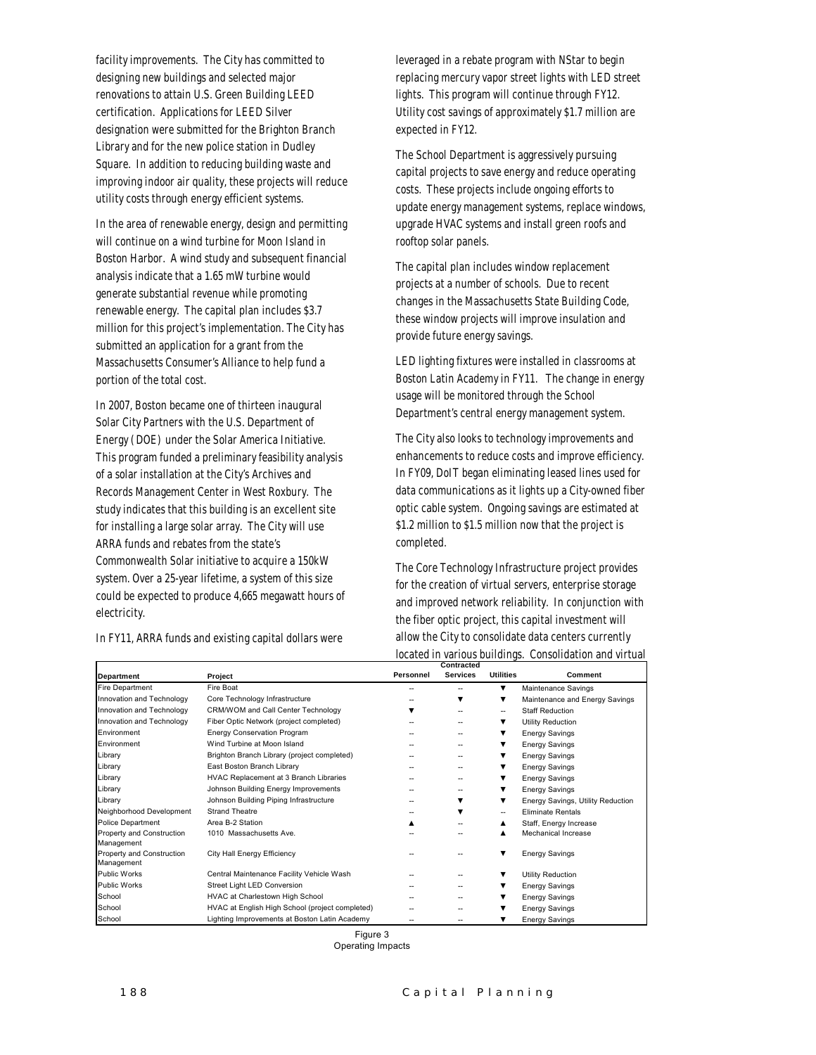facility improvements. The City has committed to designing new buildings and selected major renovations to attain U.S. Green Building LEED certification. Applications for LEED Silver designation were submitted for the Brighton Branch Library and for the new police station in Dudley Square. In addition to reducing building waste and improving indoor air quality, these projects will reduce utility costs through energy efficient systems.

In the area of renewable energy, design and permitting will continue on a wind turbine for Moon Island in Boston Harbor. A wind study and subsequent financial analysis indicate that a 1.65 mW turbine would generate substantial revenue while promoting renewable energy. The capital plan includes \$3.7 million for this project's implementation. The City has submitted an application for a grant from the Massachusetts Consumer's Alliance to help fund a portion of the total cost.

In 2007, Boston became one of thirteen inaugural Solar City Partners with the U.S. Department of Energy (DOE) under the Solar America Initiative. This program funded a preliminary feasibility analysis of a solar installation at the City's Archives and Records Management Center in West Roxbury. The study indicates that this building is an excellent site for installing a large solar array. The City will use ARRA funds and rebates from the state's Commonwealth Solar initiative to acquire a 150kW system. Over a 25-year lifetime, a system of this size could be expected to produce 4,665 megawatt hours of electricity.

In FY11, ARRA funds and existing capital dollars were

leveraged in a rebate program with NStar to begin replacing mercury vapor street lights with LED street lights. This program will continue through FY12. Utility cost savings of approximately \$1.7 million are expected in FY12.

The School Department is aggressively pursuing capital projects to save energy and reduce operating costs. These projects include ongoing efforts to update energy management systems, replace windows, upgrade HVAC systems and install green roofs and rooftop solar panels.

The capital plan includes window replacement projects at a number of schools. Due to recent changes in the Massachusetts State Building Code, these window projects will improve insulation and provide future energy savings.

LED lighting fixtures were installed in classrooms at Boston Latin Academy in FY11. The change in energy usage will be monitored through the School Department's central energy management system.

The City also looks to technology improvements and enhancements to reduce costs and improve efficiency. In FY09, DoIT began eliminating leased lines used for data communications as it lights up a City-owned fiber optic cable system. Ongoing savings are estimated at \$1.2 million to \$1.5 million now that the project is completed.

The Core Technology Infrastructure project provides for the creation of virtual servers, enterprise storage and improved network reliability. In conjunction with the fiber optic project, this capital investment will allow the City to consolidate data centers currently located in various buildings. Consolidation and virtual

|                                         |                                                 |           | Contracted      |                          |                                   |
|-----------------------------------------|-------------------------------------------------|-----------|-----------------|--------------------------|-----------------------------------|
| Department                              | Project                                         | Personnel | <b>Services</b> | <b>Utilities</b>         | Comment                           |
| Fire Department                         | Fire Boat                                       |           |                 | ▼                        | Maintenance Savings               |
| Innovation and Technology               | Core Technology Infrastructure                  |           |                 | ▼                        | Maintenance and Energy Savings    |
| Innovation and Technology               | CRM/WOM and Call Center Technology              |           | --              | $\overline{\phantom{a}}$ | <b>Staff Reduction</b>            |
| Innovation and Technology               | Fiber Optic Network (project completed)         |           |                 | ▼                        | <b>Utility Reduction</b>          |
| Environment                             | <b>Energy Conservation Program</b>              |           |                 |                          | <b>Energy Savings</b>             |
| Environment                             | Wind Turbine at Moon Island                     |           |                 |                          | <b>Energy Savings</b>             |
| Library                                 | Brighton Branch Library (project completed)     |           | --              |                          | <b>Energy Savings</b>             |
| Library                                 | East Boston Branch Library                      |           | --              |                          | <b>Energy Savings</b>             |
| Library                                 | HVAC Replacement at 3 Branch Libraries          |           | --              |                          | <b>Energy Savings</b>             |
| Library                                 | Johnson Building Energy Improvements            |           | --              | ▼                        | <b>Energy Savings</b>             |
| Library                                 | Johnson Building Piping Infrastructure          |           |                 | ▼                        | Energy Savings, Utility Reduction |
| Neighborhood Development                | <b>Strand Theatre</b>                           |           |                 | --                       | <b>Eliminate Rentals</b>          |
| Police Department                       | Area B-2 Station                                |           |                 | ▴                        | Staff, Energy Increase            |
| Property and Construction<br>Management | 1010 Massachusetts Ave.                         |           |                 |                          | Mechanical Increase               |
| Property and Construction<br>Management | City Hall Energy Efficiency                     |           |                 |                          | <b>Energy Savings</b>             |
| Public Works                            | Central Maintenance Facility Vehicle Wash       |           |                 |                          | Utility Reduction                 |
| <b>Public Works</b>                     | Street Light LED Conversion                     |           |                 |                          | <b>Energy Savings</b>             |
| School                                  | HVAC at Charlestown High School                 |           |                 |                          | <b>Energy Savings</b>             |
| School                                  | HVAC at English High School (project completed) |           |                 |                          | <b>Energy Savings</b>             |
| School                                  | Lighting Improvements at Boston Latin Academy   |           | --              |                          | <b>Energy Savings</b>             |

Figure 3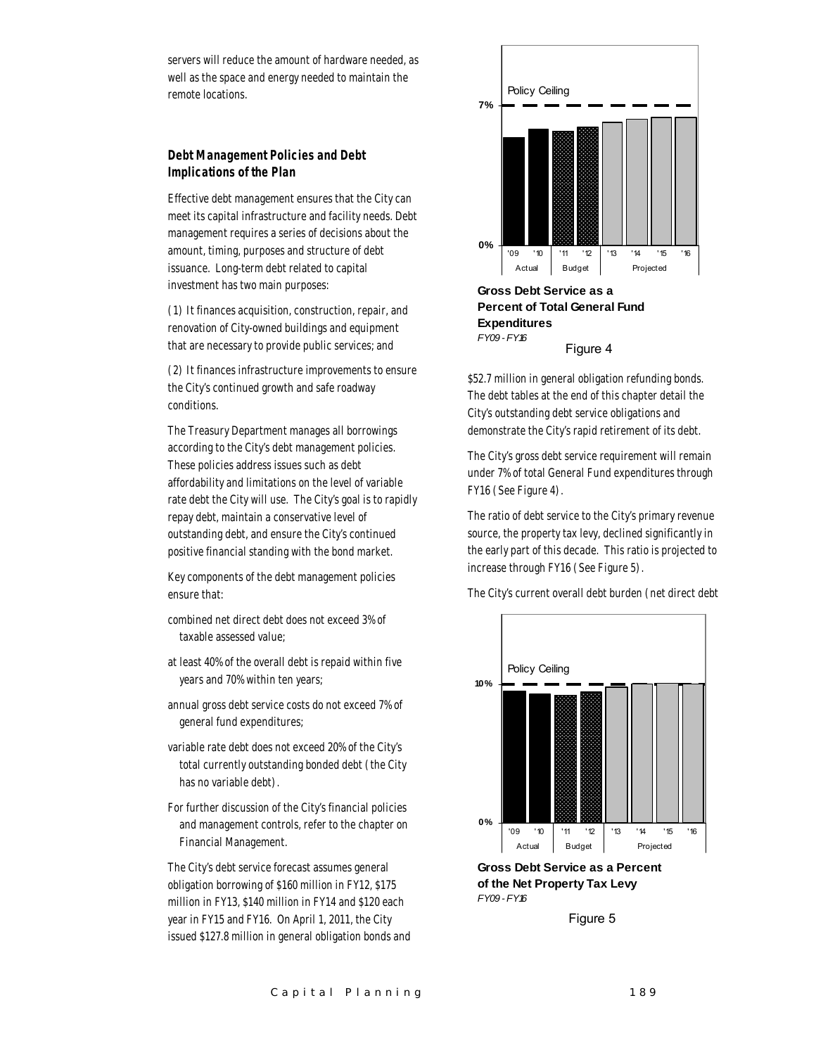servers will reduce the amount of hardware needed, as well as the space and energy needed to maintain the remote locations.

#### *Debt Management Policies and Debt Implications of the Plan*

Effective debt management ensures that the City can meet its capital infrastructure and facility needs. Debt management requires a series of decisions about the amount, timing, purposes and structure of debt issuance. Long-term debt related to capital investment has two main purposes:

(1) It finances acquisition, construction, repair, and renovation of City-owned buildings and equipment that are necessary to provide public services; and

(2) It finances infrastructure improvements to ensure the City's continued growth and safe roadway conditions.

The Treasury Department manages all borrowings according to the City's debt management policies. These policies address issues such as debt affordability and limitations on the level of variable rate debt the City will use. The City's goal is to rapidly repay debt, maintain a conservative level of outstanding debt, and ensure the City's continued positive financial standing with the bond market.

Key components of the debt management policies ensure that:

- combined net direct debt does not exceed 3% of taxable assessed value;
- at least 40% of the overall debt is repaid within five years and 70% within ten years;
- annual gross debt service costs do not exceed 7% of general fund expenditures;
- variable rate debt does not exceed 20% of the City's total currently outstanding bonded debt (the City has no variable debt).
- For further discussion of the City's financial policies and management controls, refer to the chapter on Financial Management.

The City's debt service forecast assumes general obligation borrowing of \$160 million in FY12, \$175 million in FY13, \$140 million in FY14 and \$120 each year in FY15 and FY16. On April 1, 2011, the City issued \$127.8 million in general obligation bonds and



**Gross Debt Service as a Percent of Total General Fund Expenditures** *FY09 - FY16* Figure 4

\$52.7 million in general obligation refunding bonds. The debt tables at the end of this chapter detail the City's outstanding debt service obligations and demonstrate the City's rapid retirement of its debt.

The City's gross debt service requirement will remain under 7% of total General Fund expenditures through FY16 (See Figure 4).

The ratio of debt service to the City's primary revenue source, the property tax levy, declined significantly in the early part of this decade. This ratio is projected to increase through FY16 (See Figure 5).

The City's current overall debt burden (net direct debt



**Gross Debt Service as a Percent of the Net Property Tax Levy** *FY09 - FY16*

Figure 5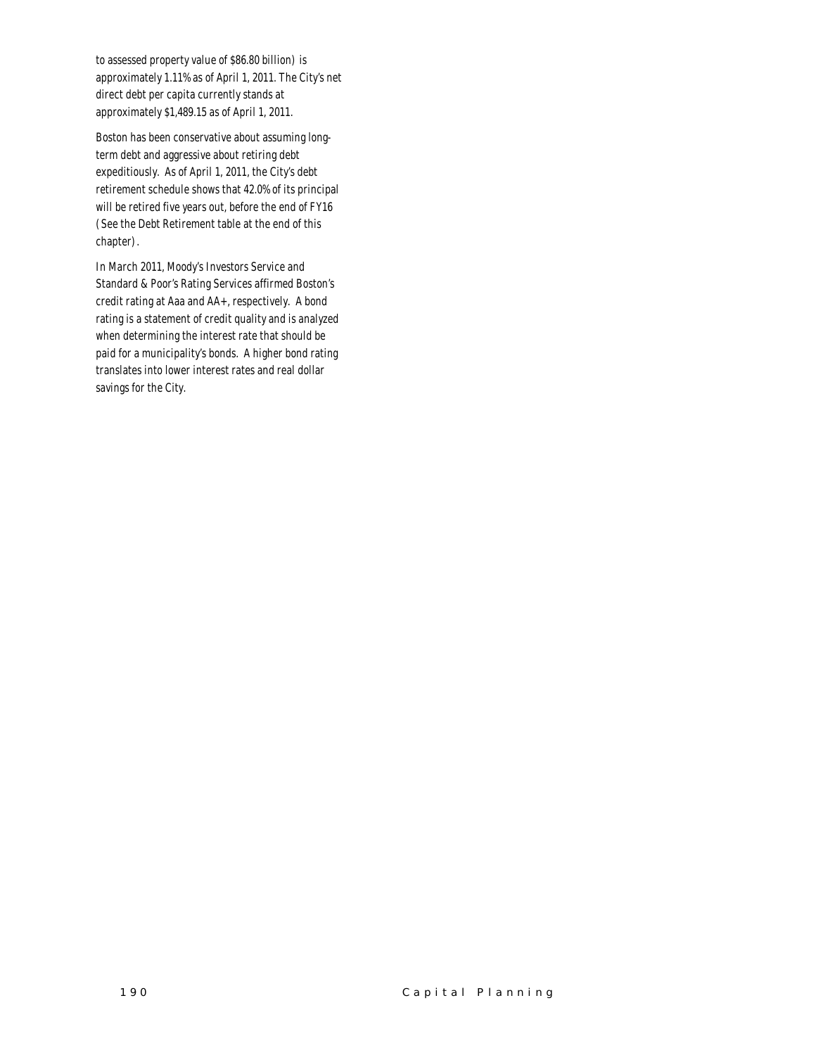to assessed property value of \$86.80 billion) is approximately 1.11% as of April 1, 2011. The City's net direct debt per capita currently stands at approximately \$1,489.15 as of April 1, 2011.

Boston has been conservative about assuming longterm debt and aggressive about retiring debt expeditiously. As of April 1, 2011, the City's debt retirement schedule shows that 42.0% of its principal will be retired five years out, before the end of FY16 (See the Debt Retirement table at the end of this chapter).

In March 2011, Moody's Investors Service and Standard & Poor's Rating Services affirmed Boston's credit rating at Aaa and AA+, respectively. A bond rating is a statement of credit quality and is analyzed when determining the interest rate that should be paid for a municipality's bonds. A higher bond rating translates into lower interest rates and real dollar savings for the City.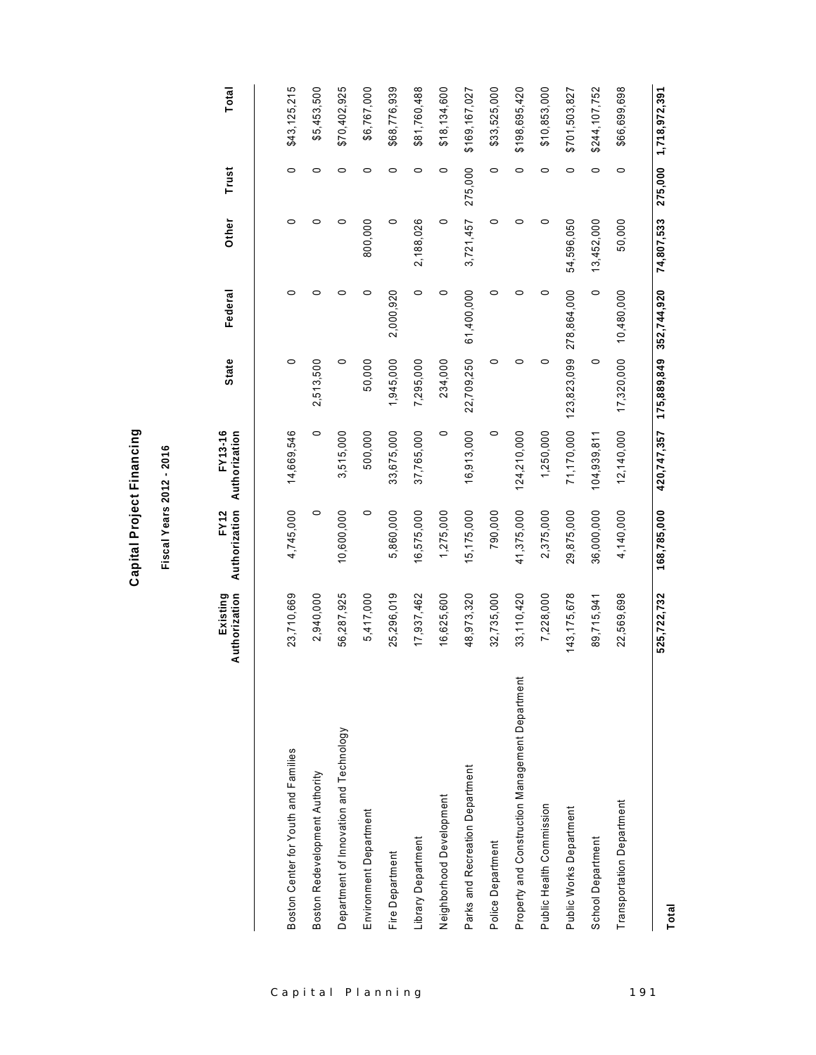|                                                 | Authorization<br>Existing | Authorization Authorization<br><b>FY12</b> | <b>FY13-16</b> | <b>State</b>            | Federal     | Other      | Trust   | Total                 |
|-------------------------------------------------|---------------------------|--------------------------------------------|----------------|-------------------------|-------------|------------|---------|-----------------------|
|                                                 |                           |                                            |                |                         |             |            |         |                       |
| Boston Center for Youth and Families            | 23,710,669                | 4,745,000                                  | 14,669,546     | $\circ$                 | 0           | $\circ$    | $\circ$ | \$43,125,215          |
| Boston Redevelopment Authority                  | 2,940,000                 | 0                                          | 0              | 2,513,500               | 0           | 0          | 0       | \$5,453,500           |
| Department of Innovation and Technology         | 56,287,925                | 10,600,000                                 | 3,515,000      | 0                       | 0           | 0          | 0       | \$70,402,925          |
| Environment Department                          | 5,417,000                 | 0                                          | 500,000        | 50,000                  | 0           | 800,000    | $\circ$ | \$6,767,000           |
| Fire Department                                 | 25,296,019                | 5,860,000                                  | 33,675,000     | 1,945,000               | 2,000,920   | $\circ$    | 0       | \$68,776,939          |
| Library Department                              | 17,937,462                | 16,575,000                                 | 37,765,000     | 7,295,000               | 0           | 2,188,026  | 0       | \$81,760,488          |
| Neighborhood Development                        | 16,625,600                | 1,275,000                                  | $\circ$        | 234,000                 | 0           | $\circ$    | 0       | \$18,134,600          |
| Parks and Recreation Department                 | 48,973,320                | 15,175,000                                 | 16,913,000     | 22,709,250              | 61,400,000  | 3,721,457  | 275,000 | \$169,167,027         |
| Police Department                               | 32,735,000                | 790,000                                    | 0              | 0                       | 0           | 0          | 0       | \$33,525,000          |
| Property and Construction Management Department | 33,110,420                | 41,375,000                                 | 124,210,000    | 0                       | 0           | 0          | 0       | \$198,695,420         |
| Public Health Commission                        | 7,228,000                 | 2,375,000                                  | 1,250,000      | 0                       | 0           | 0          | 0       | \$10,853,000          |
| Public Works Department                         | 143, 175, 678             | 29,875,000                                 | 71,170,000     | 123,823,099             | 278,864,000 | 54,596,050 | 0       | \$701,503,827         |
| School Department                               | 89,715,941                | 36,000,000                                 | 104,939,811    | 0                       | $\circ$     | 13,452,000 | $\circ$ | \$244,107,752         |
| Transportation Department                       | 22,569,698                | 4,140,000                                  | 12,140,000     | 17,320,000              | 10,480,000  | 50,000     | 0       | \$66,699,698          |
|                                                 | 525,722,732               | 168,785,000                                | 420, 747, 357  | 175,889,849 352,744,920 |             | 74,807,533 |         | 275,000 1,718,972,391 |
| Total                                           |                           |                                            |                |                         |             |            |         |                       |

**Capital Project Financing Capital Project Financing**

**Fiscal Years 2012 - 2016** Fiscal Years 2012 - 2016

**FY13-16** 

**FY12** 

**Existing** 

Capital Planning 191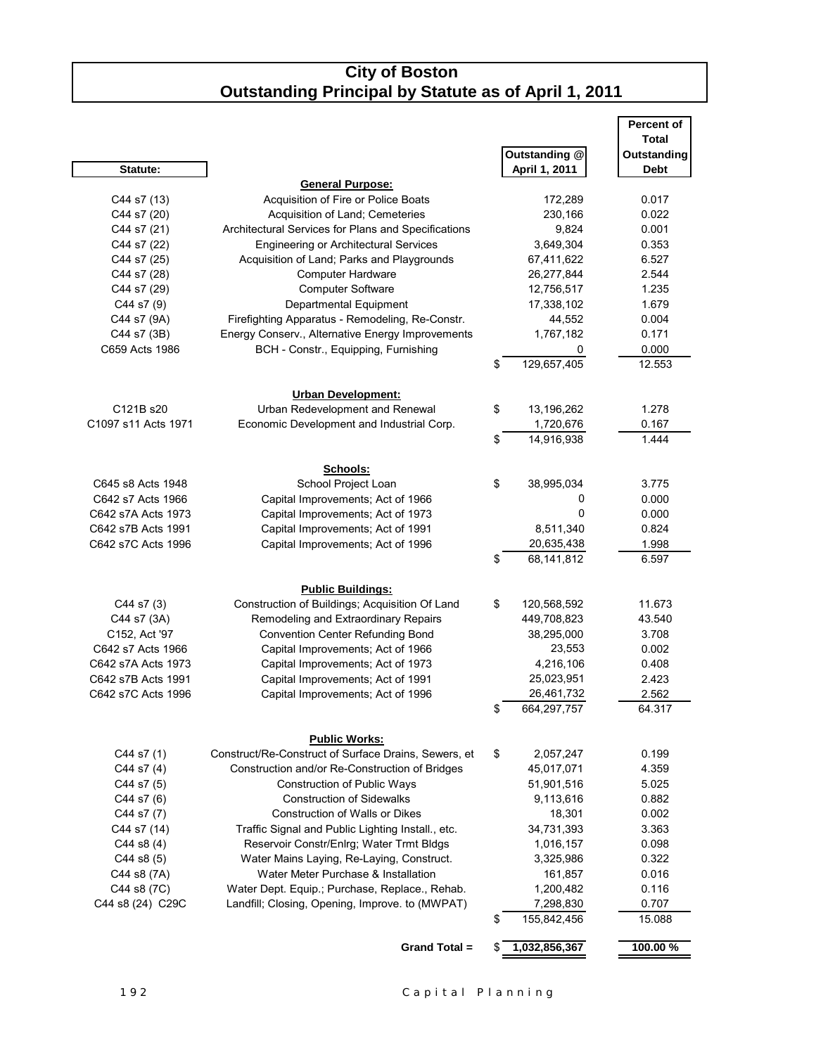#### **City of Boston Outstanding Principal by Statute as of April 1, 2011**

|                     |                                                              |                                | <b>Percent of</b>          |
|---------------------|--------------------------------------------------------------|--------------------------------|----------------------------|
|                     |                                                              |                                | Total                      |
| Statute:            |                                                              | Outstanding @<br>April 1, 2011 | Outstanding<br><b>Debt</b> |
|                     | <b>General Purpose:</b>                                      |                                |                            |
| C44 s7 (13)         | Acquisition of Fire or Police Boats                          | 172,289                        | 0.017                      |
| C44 s7 (20)         | Acquisition of Land; Cemeteries                              | 230,166                        | 0.022                      |
| C44 s7 (21)         | Architectural Services for Plans and Specifications          | 9,824                          | 0.001                      |
| C44 s7 (22)         | <b>Engineering or Architectural Services</b>                 | 3,649,304                      | 0.353                      |
| C44 s7 (25)         | Acquisition of Land; Parks and Playgrounds                   | 67,411,622                     | 6.527                      |
| C44 s7 (28)         | <b>Computer Hardware</b>                                     | 26,277,844                     | 2.544                      |
| C44 s7 (29)         | <b>Computer Software</b>                                     | 12,756,517                     | 1.235                      |
| C44 s7 (9)          | Departmental Equipment                                       | 17,338,102                     | 1.679                      |
| C44 s7 (9A)         | Firefighting Apparatus - Remodeling, Re-Constr.              | 44,552                         | 0.004                      |
| C44 s7 (3B)         | Energy Conserv., Alternative Energy Improvements             | 1,767,182                      | 0.171                      |
| C659 Acts 1986      | BCH - Constr., Equipping, Furnishing                         | 0                              | 0.000                      |
|                     |                                                              | \$<br>129,657,405              | 12.553                     |
|                     |                                                              |                                |                            |
| C121B s20           | <b>Urban Development:</b><br>Urban Redevelopment and Renewal | \$<br>13,196,262               | 1.278                      |
| C1097 s11 Acts 1971 | Economic Development and Industrial Corp.                    | 1,720,676                      | 0.167                      |
|                     |                                                              | \$<br>14,916,938               | 1.444                      |
|                     |                                                              |                                |                            |
|                     | Schools:                                                     |                                |                            |
| C645 s8 Acts 1948   | School Project Loan                                          | \$<br>38,995,034               | 3.775                      |
| C642 s7 Acts 1966   | Capital Improvements; Act of 1966                            | 0                              | 0.000                      |
| C642 s7A Acts 1973  | Capital Improvements; Act of 1973                            | 0                              | 0.000                      |
| C642 s7B Acts 1991  | Capital Improvements; Act of 1991                            | 8,511,340                      | 0.824                      |
| C642 s7C Acts 1996  | Capital Improvements; Act of 1996                            | 20,635,438                     | 1.998                      |
|                     |                                                              | \$<br>68,141,812               | 6.597                      |
|                     | <b>Public Buildings:</b>                                     |                                |                            |
| C44 s7 (3)          | Construction of Buildings; Acquisition Of Land               | \$<br>120,568,592              | 11.673                     |
| C44 s7 (3A)         | Remodeling and Extraordinary Repairs                         | 449,708,823                    | 43.540                     |
| C152, Act '97       | <b>Convention Center Refunding Bond</b>                      | 38,295,000                     | 3.708                      |
| C642 s7 Acts 1966   | Capital Improvements; Act of 1966                            | 23,553                         | 0.002                      |
| C642 s7A Acts 1973  | Capital Improvements; Act of 1973                            | 4,216,106                      | 0.408                      |
| C642 s7B Acts 1991  | Capital Improvements; Act of 1991                            | 25,023,951                     | 2.423                      |
| C642 s7C Acts 1996  | Capital Improvements; Act of 1996                            | 26,461,732                     | 2.562                      |
|                     |                                                              | \$<br>664,297,757              | 64.317                     |
|                     | <b>Public Works:</b>                                         |                                |                            |
| C44 s7 (1)          | Construct/Re-Construct of Surface Drains, Sewers, et         | \$<br>2,057,247                | 0.199                      |
| C44 s7 (4)          | Construction and/or Re-Construction of Bridges               | 45,017,071                     | 4.359                      |
| C44 s7 (5)          | Construction of Public Ways                                  | 51,901,516                     | 5.025                      |
| C44 s7 (6)          | <b>Construction of Sidewalks</b>                             | 9,113,616                      | 0.882                      |
| C44 s7 (7)          | <b>Construction of Walls or Dikes</b>                        | 18,301                         | 0.002                      |
| C44 s7 (14)         | Traffic Signal and Public Lighting Install., etc.            | 34,731,393                     | 3.363                      |
| $C44$ s8 $(4)$      | Reservoir Constr/Enlrg; Water Trmt Bldgs                     | 1,016,157                      | 0.098                      |
| $C44$ s8 $(5)$      | Water Mains Laying, Re-Laying, Construct.                    | 3,325,986                      | 0.322                      |
| C44 s8 (7A)         | Water Meter Purchase & Installation                          | 161,857                        | 0.016                      |
| C44 s8 (7C)         | Water Dept. Equip.; Purchase, Replace., Rehab.               | 1,200,482                      | 0.116                      |
| C44 s8 (24) C29C    | Landfill; Closing, Opening, Improve. to (MWPAT)              | 7,298,830                      | 0.707                      |
|                     |                                                              | \$<br>155,842,456              | 15.088                     |
|                     | Grand Total =                                                |                                |                            |
|                     |                                                              | 1,032,856,367                  | 100.00 %                   |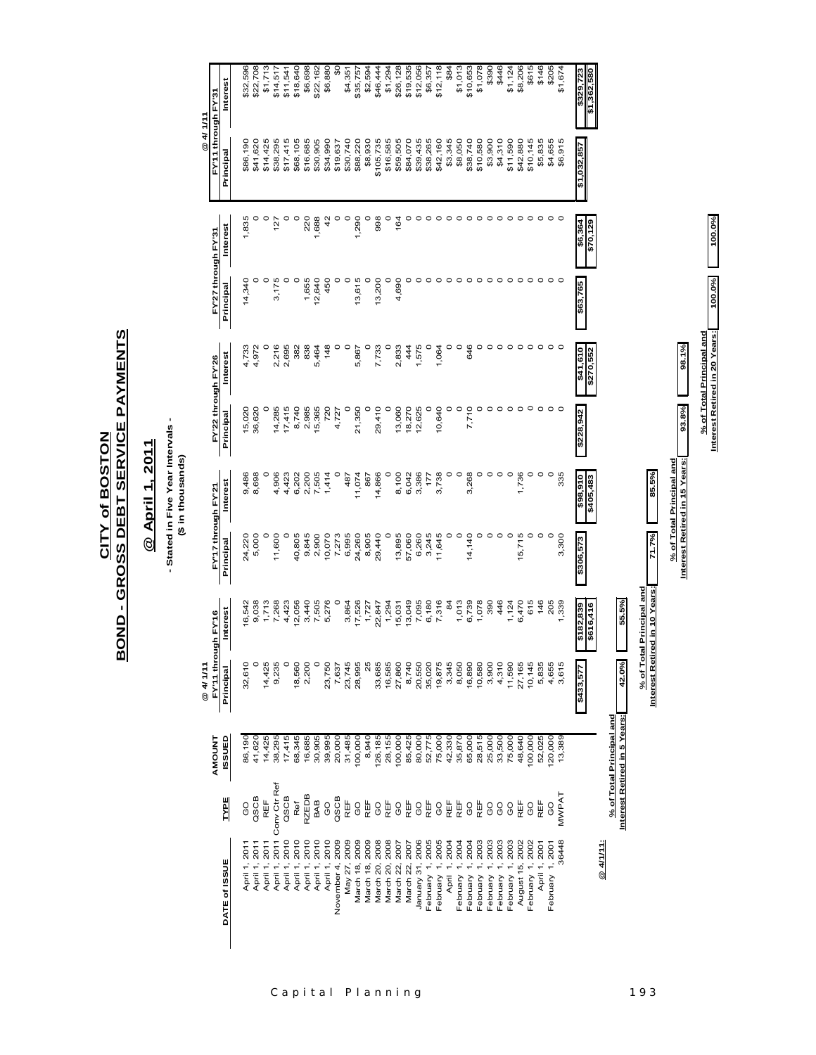# **BOND - GROSS DEBT SERVICE PAYMENTS BOND - GROSS DEBT SERVICE PAYMENTS CITY of BOSTON CITY of BOSTON**

## @ April 1, 2011 **@ April 1, 2011**

- Stated in Five Year Intervals -<br>(\$ in thousands) **- Stated in Five Year Intervals -**

**(\$ in thousands)**

|                            |              |                                                          | @ 4/ 1/11           |                               |                     |                       |           |                       |                     |                     | @ 4/ 1/11           |             |
|----------------------------|--------------|----------------------------------------------------------|---------------------|-------------------------------|---------------------|-----------------------|-----------|-----------------------|---------------------|---------------------|---------------------|-------------|
|                            |              | <b>AMOUNT</b>                                            | FY'11 through FY'16 |                               | FY'17 through FY'21 |                       |           | FY'22 through FY'26   | FY'27 through FY'31 |                     | FY'11 through FY'31 |             |
| DATE of ISSUE              | <b>TYPE</b>  | ISSUED                                                   | Principal           | Interest                      | Principal           | Interest              | Principal | Interest              | Principal           | Interest            | Principal           | Interest    |
| April 1, 2011              | OO           | 86,190                                                   | 32,610              | 16,542                        | 24,220              | 9,486                 | 15,020    | 4,733                 | 14,340              | 1,835               | \$86,190            | \$32,596    |
| April 1, 2011              | QSCB         | 41,620                                                   |                     | 9,038                         | 5,000               | 8,698                 | 36,620    | 4,972                 |                     |                     | \$41,620            | \$22,708    |
| April 1, 2011              | REF          | 14,425                                                   | 14,425              | 1,713                         |                     |                       |           |                       | $\circ$             |                     | \$14,425            | \$1,713     |
| April 1, 2011 Conv Ctr Ref |              | 38,295                                                   | 9,235               | 7,268                         | 11,600              | 4,906                 | 14,285    | 2,216                 | 3,175               | 127                 | \$38,295            | \$14,517    |
| April 1, 2010              | QSCB         | 17,415                                                   | $\circ$             | 4,423                         | $\circ$             | 4,423                 | 17,415    | 2,695                 |                     |                     | \$17,415            | \$11,541    |
| April 1, 2010              | Ref          | 68,345                                                   | 18,560              | 12,056                        | 40,805              | 6,202                 | 8,740     | 382                   | $\circ$             | $\circ$             | \$68,105            | \$18,640    |
| April 1, 2010              | <b>RZEDB</b> | 16,685                                                   | 2,200               | 3,440                         | 9,845               | 2,200                 | 2,985     | 838                   | 1,655               | 220                 | \$16,685            | \$6,698     |
| April 1, 2010              | BAB          | 30,905                                                   | $\circ$             | 7,505                         | 2,900               | 7,505                 | 15,365    | 5,464                 | 12,640              | 1,688               | \$30,905            | \$22,162    |
| April 1, 2010              | OO           | 39,995                                                   | 23,750              | 5,276                         | 10,070              | 1,414                 | 720       | 148                   | 450                 | $\frac{2}{3}$       | \$34,990            | \$6,880     |
| November 4, 2009           | QSCB         | 20,000                                                   | 7,637               |                               | 7,273               |                       | 4,727     |                       |                     |                     | \$19,637            | \$          |
| May 27, 2009               | REF          | 31,485                                                   | 23,745              | 3,864                         | 6,995               | 487                   |           | O                     |                     |                     | \$30,740            | \$4,351     |
| March 18, 2009             | <b>CO</b>    | 100,000                                                  | 28,995              | 17,526                        | 24,260              | 11,074                | 21,350    | 5,867                 | 13,615              | 1,290               | \$88,220            | \$35,757    |
| March 18, 2009             | REF          | 8,940                                                    | 25                  | 1,727                         | 8,905               | 867                   |           |                       |                     |                     | \$8,930             | \$2,594     |
| March 20, 2008             | GO           | 126,185                                                  | 33,685              | 22,847                        | 29,440              | 14,866                | 29,410    | 7,733                 | 13,200              | 998                 | \$105,735           | \$46,444    |
| March 20, 2008             | REF          | 28,155                                                   | 16,585              | 1,294                         | O                   |                       | 0         |                       |                     |                     | \$16,585            | \$1,294     |
| March 22, 2007             | <b>GO</b>    | 100,000                                                  | 27,860              | 15,031                        | 13,895              | 8,100                 | 13,060    | 2,833                 | 4,690               | 164                 | \$59,505            | \$26,128    |
| March 22, 2007             | REF          | 85,425                                                   | 8,740               | 13,049                        | 57,060              | 6,042                 | 18,270    | 444                   |                     |                     | \$84,070            | \$19,535    |
| January 31, 2006           | <b>CO</b>    | 80,000                                                   | 20,550              | 7,095                         | 6,260               | 3,386                 | 12,625    | 1,575                 |                     |                     | \$39,435            | \$12,056    |
| February 1, 2005           | REF          | 52,775                                                   | 35,020              | 6,180                         | 3,245               | 177                   | $\circ$   |                       |                     |                     | \$38,265            | \$6,357     |
| February 1, 2005           | <b>CO</b>    | 75,000                                                   | 19,875              | 7,316                         | 11,645              | 3,738                 | 10,640    | 1,064                 |                     |                     | \$42,160            | \$12,118    |
| April 1, 2004              | REF          | 42,330                                                   | 3,345               | $\overline{6}$                | 0                   |                       |           | 0                     |                     |                     | \$3,345             | \$84        |
| February 1, 2004           | REF          | 35,870                                                   | 8,050               | 1,013                         | $\circ$             |                       | 0         | o                     |                     |                     | \$8,050             | \$1,013     |
| February 1, 2004           | <b>GO</b>    | 65,000                                                   | 16,890              | 6,739                         | 14,140              | 3,268                 | 7,710     | 646                   |                     |                     | \$38,740            | \$10,653    |
| February 1, 2003           | REF          | 28,515                                                   | 10,580              | 1,078                         | 0                   |                       |           | 0                     |                     |                     | \$10,580            | \$1,078     |
| February 1, 2003           | <b>CO</b>    | 25,000                                                   | 3,900               | 390                           | $\circ$             |                       | 0         |                       |                     |                     | \$3,900             | \$390       |
| February 1, 2003           | GO           | 33,500                                                   | 4,310               | 446                           | $\circ$             | $\circ$               | $\circ$   | 0                     |                     |                     | \$4,310             | \$446       |
| February 1, 2003           | <b>CO</b>    | 75,000                                                   | 11,590              | 1,124                         | $\circ$             | $\circ$               |           |                       |                     |                     | \$11,590            | \$1,124     |
| August 15, 2002            | REF          | 48,640                                                   | 27,165              | 6,470                         | 15,715              | 1,736                 |           |                       |                     |                     | \$42,880            | \$8,206     |
| February 1, 2002           | O<br>O       | 100,000                                                  | 10,145              | 615                           |                     | 0                     |           | 0                     |                     |                     | \$10,145            | \$615       |
| April 1, 2001              | REF          | 52,025                                                   | 5,835               | 146                           | $\circ$             | $\circ$               | $\circ$   | $\circ$               | $\circ$             | $\circ$             | \$5,835             | \$146       |
| February 1, 2001           | 8            | 20,000                                                   | 4,655               | 205                           |                     |                       |           | $\circ$               |                     |                     | \$4,655             | \$205       |
| 36448                      | MWPAT        | 13,389                                                   | 3,615               | 1,339                         | 3,300               | 335                   |           |                       |                     |                     | \$6,915             | \$1,674     |
|                            |              |                                                          | \$433,577           | \$182,839<br>\$616,416        | \$306,573           | 016'86\$<br>\$405,483 | \$228,942 | \$41,610<br>\$270,552 | \$63,765            | \$6,364<br>\$70,129 | \$1,032,857         | \$1,362,580 |
| @ 4/1/11:                  |              |                                                          |                     |                               |                     |                       |           |                       |                     |                     |                     |             |
|                            |              | Interest Retired in 5 Years:<br>% of Total Principal and | 42.0%               | 55.5%                         |                     |                       |           |                       |                     |                     |                     |             |
|                            |              |                                                          |                     | % of Total Principal and      |                     |                       |           |                       |                     |                     |                     |             |
|                            |              |                                                          |                     | Interest Retired in 10 Years: | 71.7%               | 85.5%                 |           |                       |                     |                     |                     |             |

**% of Total Principal and**

**Interest Retired in 15 Years: 93.8% 98.1%**

<u>% of Total Principal and the sale of the sector of the sector of</u> the sector of the sector of the sector of the sector of the sector of the sector of the sector of the sector of the sector of the sector of the sector of t

**% of Total Principal and**

 $\frac{\% \text{ of Total Principal and}}{\text{Interest Reared in } 20 \text{ Years.}}$   $\boxed{\qquad \qquad 100.0\%}$ **Interest Retired in 20 Years: 100.0% 100.0%**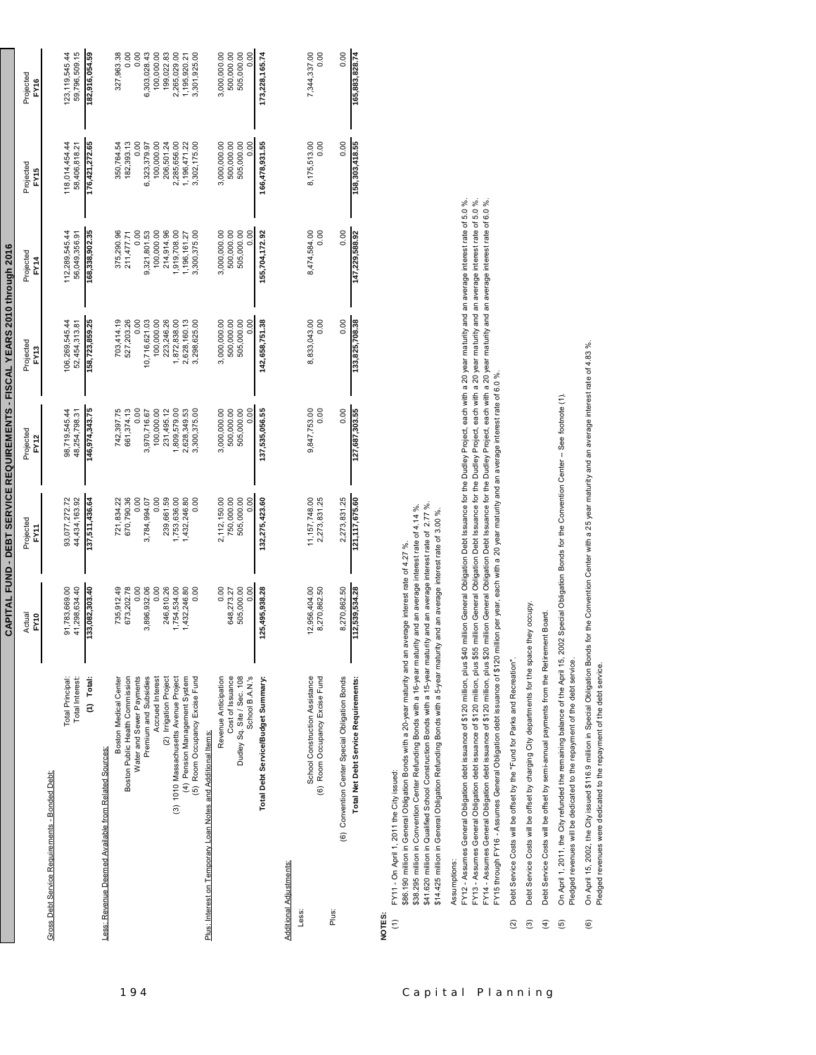|                                                |                                                                  |                               |                                 |                      | CAPITAL FUND - DEBT SERVICE REQUIREMENTS - FISCAL YEARS 2010 through 2016 |                          |                      |                      |
|------------------------------------------------|------------------------------------------------------------------|-------------------------------|---------------------------------|----------------------|---------------------------------------------------------------------------|--------------------------|----------------------|----------------------|
|                                                |                                                                  | Actual<br>PY10                | Projected<br>EX<br>E            | Projected<br>FY12    | Projected<br>FY13                                                         | Projected<br><b>FY14</b> | Projected<br>FY15    | Projected<br>FY16    |
| Gross Debt Service Requirements - Bonded Debt: |                                                                  |                               |                                 |                      |                                                                           |                          |                      |                      |
|                                                | Total Principal:                                                 | 91,783,669.00                 | 93,077,272.72                   | 98,719,545.44        | 06,269,545.44                                                             | 112,289,545.44           | 118,014,454.44       | 123,119,545.44       |
|                                                | Total Interest:                                                  | 41,298,634.40                 | 44,434,163.92                   | 48.254.798.31        | 52,454,313.81                                                             | 56,049,356.91            | 58,406,818.21        | 59,796,509.15        |
|                                                | $(1)$ Total:                                                     | 133,082,303.40                | 137,511,436.64                  | 146,974,343.75       | 158,723,859.25                                                            | 168,338,902.35           | 176,421,272.65       | 182,916,054.59       |
|                                                | Less: Revenue Deemed Available from Related Sources:             |                               |                                 |                      |                                                                           |                          |                      |                      |
|                                                | Boston Medical Center                                            | 735,912.49                    | 721,834.22                      | 742,397.75           | 703,414.19                                                                | 375,290.96               | 350,764.54           | 327,963.38           |
|                                                | Boston Public Health Commission                                  | 673,202.78                    | 670,790.36                      | 661, 374.13          | 527,203.26                                                                | 211,477.71               | 182,393.13           | 0.00                 |
|                                                | Water and Sewer Payments                                         | 0.00                          | 80.00                           | 0.00                 |                                                                           | 0.00                     |                      | 0.00                 |
|                                                | Premium and Subsidies                                            | 3,896,932.06                  | 3,784,994.07                    | 3,970,716.67         | 10,716,621.03                                                             | 9,321,801.53             | 6,323,379.97         | 6,303,028.43         |
|                                                | Accrued Interest                                                 | $\frac{8}{3}$                 | $\frac{8}{10}$                  | 100,000.00           | 100,000.00                                                                | 100,000.00               | 100,000.00           | 100,000.00           |
|                                                | (2) Irrigation Project                                           | 246,810.26                    | 239,661.59                      | 231,495.12           | 223,246.26                                                                | 214,914.96               | 206,501.24           | 199,022.83           |
|                                                | (3) 1010 Massachusetts Avenue Project                            | 1,754,534.00                  | ,753,636.00                     | 809,579.00           | ,872,838.00                                                               | 1,919,708.00             | 2,285,656.00         | 2,265,029.00         |
|                                                | (4) Pension Management System                                    | 1,432,246.80                  | 1,432,246.80                    | 2,628,349.53         | 2,628,160.13                                                              | 1,196,161.27             | 1,196,471.22         | 1,195,920.21         |
|                                                | (5) Room Occupancy Excise Fund                                   | 8<br>0.0                      | $\frac{8}{10}$                  | 3,300,375.00         | 3,298,625.00                                                              | 3,300,375.00             | 3,302,175.00         | 3,301,925.00         |
|                                                | Plus: Interest on Temporary Loan Notes and Additional Items:     |                               |                                 |                      |                                                                           |                          |                      |                      |
|                                                | Revenue Anticipation                                             | 0.00                          | 2,112,150.00                    | 3,000,000.00         | 3,000,000.00                                                              | 3,000,000.00             | 3,000,000.00         | 3,000,000.00         |
|                                                | Cost of Issuance                                                 | 648,273.27                    | 750,000.00                      | 500,000.00           | 500,000.00                                                                | 500,000.00               | 500,000.00           | 500,000.00           |
|                                                | Dudley Sq. Site / Sec. 108                                       | 505,000.00                    | 505,000.00                      | 505,000.00           | 505,000.00                                                                | 505,000.00               | 505,000.00           | 505,000.00           |
|                                                | School B.A.N.'s                                                  | 0.00                          | 0.00                            | 0.00                 | 0.00                                                                      | 0.00                     | 0.00                 | 0.00                 |
|                                                | Total Debt Service/Budget Summary:                               | 125,495,938.28                | 132,275,423.60                  | 137,535,056.55       | 142,658,751.38                                                            | 155,704,172.92           | 166,478,931.55       | 173,228,165.74       |
| <b>Additional Adiustments:</b>                 |                                                                  |                               |                                 |                      |                                                                           |                          |                      |                      |
| Less:                                          |                                                                  |                               |                                 |                      |                                                                           |                          |                      |                      |
|                                                | School Construction Assistance<br>(6) Room Occupancy Excise Fund | 12,956,404.00<br>8,270,862.50 | 11, 157, 748.00<br>2,273,831.25 | 9,847,753.00<br>0.00 | 8,833,043.00<br>0.00                                                      | 8,474,584.00<br>0.00     | 8,175,513.00<br>0.00 | 7,344,337.00<br>0.00 |
| Plus:                                          |                                                                  |                               |                                 |                      |                                                                           |                          |                      |                      |
|                                                | (6) Convention Center Special Obligation Bonds                   | 8,270,862.50                  | 2,273,831.25                    | 0.00                 | 0.00                                                                      | 0.00                     | 0.00                 | 0.00                 |
|                                                | Total Net Debt Service Requirements:                             | 112,539,534.28                | 121, 117, 675.60                | 127,687,303.55       | 133,825,708.38                                                            | 147,229,588.92           | 158,303,418.55       | 165,883,828.74       |
|                                                |                                                                  |                               |                                 |                      |                                                                           |                          |                      |                      |

┑

### **NOTES:**

\$86.190 million in General Obligation Bonds with a 20-year maturity and an average interest rate of 4.27 %. \$86.190 million in General Obligation Bonds with a 20-year maturity and an average interest rate of 4.27 %. FY11 - On April 1, 2011 the City issued: (1) FY11 - On April 1, 2011 the City issued:  $\widehat{c}$ 

\$38.295 million in Convention Center Refunding Bonds with a 16-year maturity and an average interest rate of 4.14 %.

\$38.295 million in Convention Center Refunding Bonds with a 16-year maturity and an average interest rate of 4.14 %.<br>\$41.620 million in Qualified School Construction Bonds with a 15-year maturity and an average interest r \$41.620 million in Qualified School Construction Bonds with a 15-year maturity and an average interest rate of 2.77 %.

\$14.425 million in General Obligation Refunding Bonds with a 5-year maturity and an average interest rate of 3.00 % \$14.425 million in General Obligation Refunding Bonds with a 5-year maturity and an average interest rate of 3.00 %.

Assumptions: Assumptions:

FY12 - Assumes General Obligation debt issuance of \$120 million, plus \$40 million General Obligation Debt Issuance for the Dudley Projed, each with a 20 year maturity and an average interest rate of 5.0 %. FY12 - Assumes General Obligation debt issuance of \$120 million, plus \$40 million General Obligation Debt Issuance for the Dudley Project, each with a 20 year maturity and an average interest rate of 5.0 %. FY13 - Assumes General Obligation debt issuance of \$120 million, plus \$55 million General Obligation Debt Issuance for the Dudley Project, each with a 20 year maturity and an average interest rate of 5.0 %. FY13 - Assumes General Obligation debt issuance of \$120 million, plus \$55 million General Obligation Debt Issuance for the Dudley Project, each with a 20 year maturity and an average interest rate of 5.0 %. FY14 - Assumes General Obligation debt issuance of \$120 million, plus \$20 million General Obligation Debt Issuance for the Dudley Project, each with a 20 year maturity and an average interest rate of 6.0 %. FY14 - Assumes General Obligation debt issuance of \$120 million, plus \$20 million General Obligation Debt Issuance for the Dudley Project, each with a 20 year maturity and an average interest rate of 6.0 %. FY15 through FY16 - Assumes General Obligation debt issuance of \$120 million per year, each with a 20 year maturity and an average interest rate of 6.0 %. FY15 through FY16 - Assumes General Obligation debt issuance of \$120 million per year, each with a 20 year maturity and an average interest rate of 6.0 %.

Debt Service Costs will be offset by the "Fund for Parks and Recreation". (2) Debt Service Costs will be offset by the "Fund for Parks and Recreation".

Debt Service Costs will be offset by charging City departments for the space they occupy. (3) Debt Service Costs will be offset by charging City departments for the space they occupy.  $\widehat{c}$   $\widehat{c}$   $\widehat{d}$ 

Debt Service Costs will be offset by semi-annual payments from the Retirement Board. (4) Debt Service Costs will be offset by semi-annual payments from the Retirement Board.

On April 1, 2011, the City refunded the remaining balance of the April 15, 2002 Special Obligation Bonds for the Convention Center - See footnote (1). (5) On April 1, 2011, the City refunded the remaining balance of the April 15, 2002 Special Obligation Bonds for the Convention Center -- See footnote (1). Pledged revenues will be dedicated to the repayment of the debt service. Pledged revenues will be dedicated to the repayment of the debt service.  $\widehat{\mathfrak{s}}$ 

On April 15, 2002, the City issued \$116.9 million in Special Obligation Bonds for the Convention Center with a 25 year maturity and an average interest rate of 4.83 %. (6) On April 15, 2002, the City issued \$116.9 million in Special Obligation Bonds for the Convention Center with a 25 year maturity and an average interest rate of 4.83 %. Pledged revenues were dedicated to the repayment of the debt service. Pledged revenues were dedicated to the repayment of the debt service. $\widehat{\mathbf{e}}$